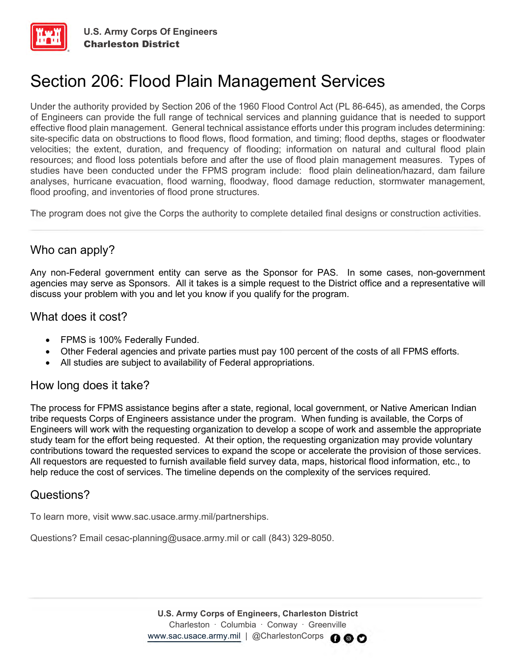

# Section 206: Flood Plain Management Services

Under the authority provided by Section 206 of the 1960 Flood Control Act (PL 86-645), as amended, the Corps of Engineers can provide the full range of technical services and planning guidance that is needed to support effective flood plain management. General technical assistance efforts under this program includes determining: site-specific data on obstructions to flood flows, flood formation, and timing; flood depths, stages or floodwater velocities; the extent, duration, and frequency of flooding; information on natural and cultural flood plain resources; and flood loss potentials before and after the use of flood plain management measures. Types of studies have been conducted under the FPMS program include: flood plain delineation/hazard, dam failure analyses, hurricane evacuation, flood warning, floodway, flood damage reduction, stormwater management, flood proofing, and inventories of flood prone structures.

The program does not give the Corps the authority to complete detailed final designs or construction activities.

## Who can apply?

Any non-Federal government entity can serve as the Sponsor for PAS. In some cases, non-government agencies may serve as Sponsors. All it takes is a simple request to the District office and a representative will discuss your problem with you and let you know if you qualify for the program.

### What does it cost?

- FPMS is 100% Federally Funded.
- Other Federal agencies and private parties must pay 100 percent of the costs of all FPMS efforts.
- All studies are subject to availability of Federal appropriations.

### How long does it take?

The process for FPMS assistance begins after a state, regional, local government, or Native American Indian tribe requests Corps of Engineers assistance under the program. When funding is available, the Corps of Engineers will work with the requesting organization to develop a scope of work and assemble the appropriate study team for the effort being requested. At their option, the requesting organization may provide voluntary contributions toward the requested services to expand the scope or accelerate the provision of those services. All requestors are requested to furnish available field survey data, maps, historical flood information, etc., to help reduce the cost of services. The timeline depends on the complexity of the services required.

### Questions?

To learn more, visit www.sac.usace.army.mil/partnerships.

Questions? Email cesac-planning@usace.army.mil or call (843) 329-8050.